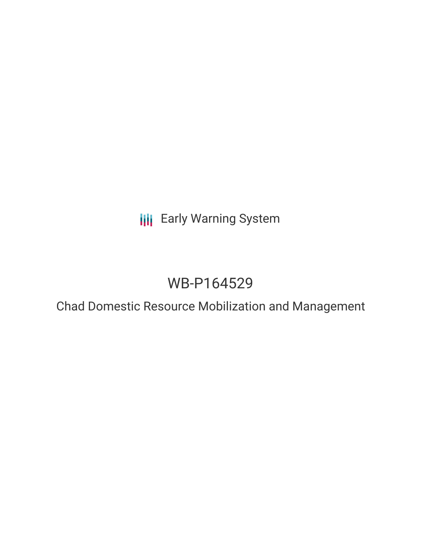**III** Early Warning System

# WB-P164529

Chad Domestic Resource Mobilization and Management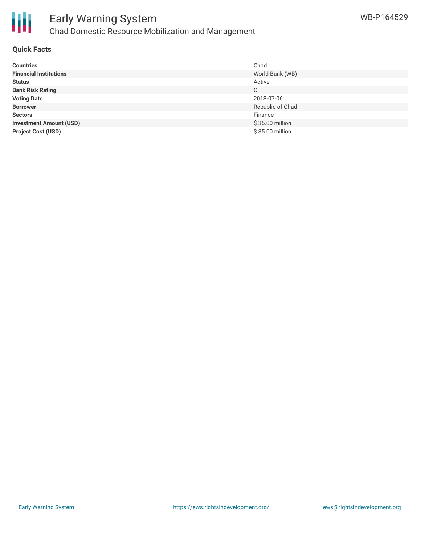



### Early Warning System Chad Domestic Resource Mobilization and Management

### **Quick Facts**

| <b>Countries</b>               | Chad             |
|--------------------------------|------------------|
| <b>Financial Institutions</b>  | World Bank (WB)  |
| <b>Status</b>                  | Active           |
| <b>Bank Risk Rating</b>        | C                |
| <b>Voting Date</b>             | 2018-07-06       |
| <b>Borrower</b>                | Republic of Chad |
| <b>Sectors</b>                 | Finance          |
| <b>Investment Amount (USD)</b> | \$35.00 million  |
| <b>Project Cost (USD)</b>      | \$35.00 million  |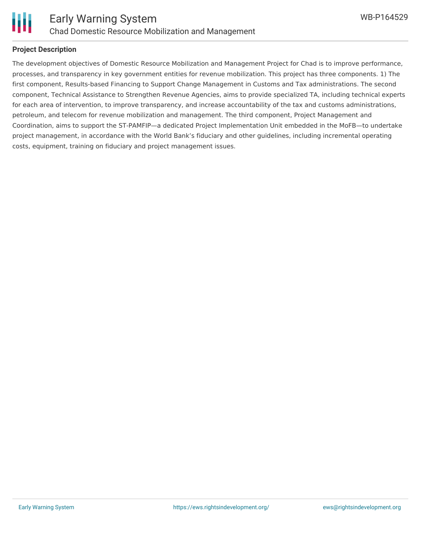

### **Project Description**

The development objectives of Domestic Resource Mobilization and Management Project for Chad is to improve performance, processes, and transparency in key government entities for revenue mobilization. This project has three components. 1) The first component, Results-based Financing to Support Change Management in Customs and Tax administrations. The second component, Technical Assistance to Strengthen Revenue Agencies, aims to provide specialized TA, including technical experts for each area of intervention, to improve transparency, and increase accountability of the tax and customs administrations, petroleum, and telecom for revenue mobilization and management. The third component, Project Management and Coordination, aims to support the ST-PAMFIP—a dedicated Project Implementation Unit embedded in the MoFB—to undertake project management, in accordance with the World Bank's fiduciary and other guidelines, including incremental operating costs, equipment, training on fiduciary and project management issues.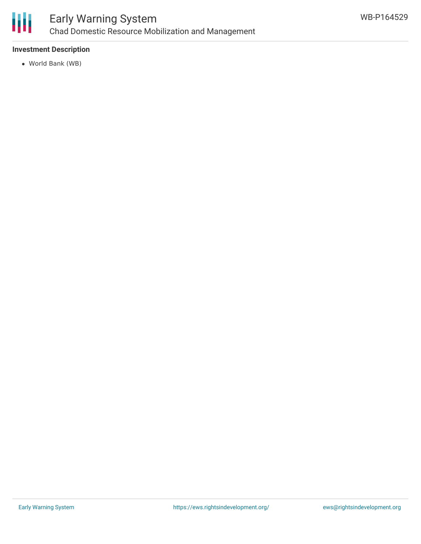

## Early Warning System Chad Domestic Resource Mobilization and Management

### **Investment Description**

World Bank (WB)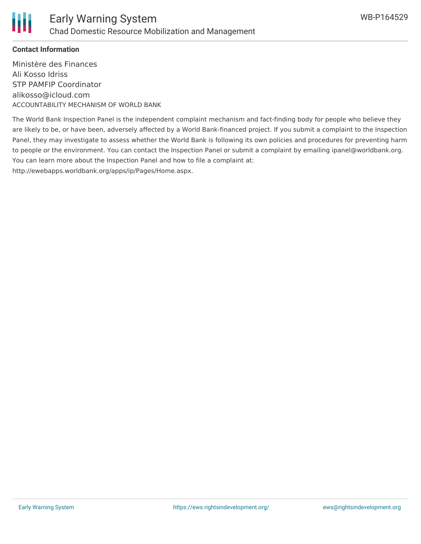

### **Contact Information**

Ministère des Finances Ali Kosso Idriss STP PAMFIP Coordinator alikosso@icloud.com ACCOUNTABILITY MECHANISM OF WORLD BANK

The World Bank Inspection Panel is the independent complaint mechanism and fact-finding body for people who believe they are likely to be, or have been, adversely affected by a World Bank-financed project. If you submit a complaint to the Inspection Panel, they may investigate to assess whether the World Bank is following its own policies and procedures for preventing harm to people or the environment. You can contact the Inspection Panel or submit a complaint by emailing ipanel@worldbank.org. You can learn more about the Inspection Panel and how to file a complaint at: http://ewebapps.worldbank.org/apps/ip/Pages/Home.aspx.